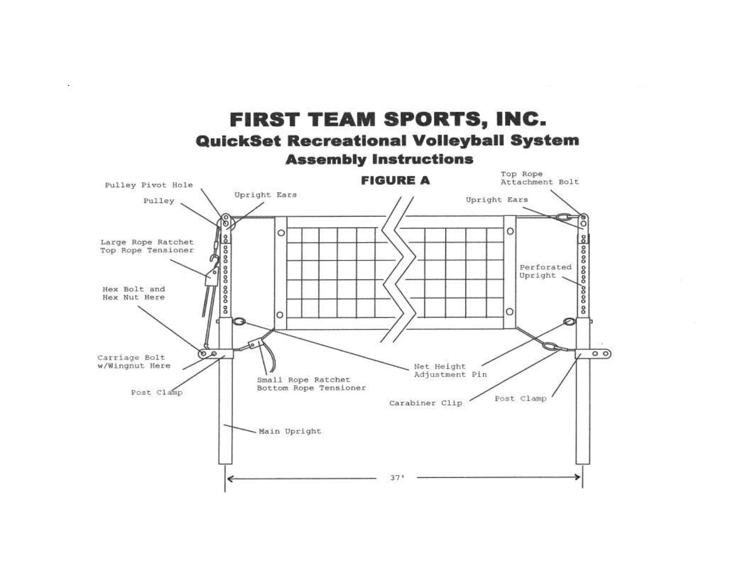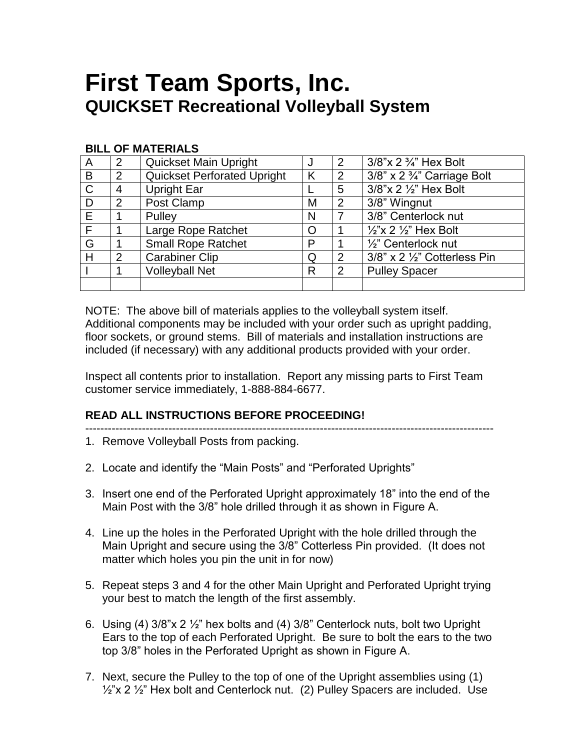## **First Team Sports, Inc. QUICKSET Recreational Volleyball System**

### **BILL OF MATERIALS**

| A            | $\overline{2}$ | Quickset Main Upright              | J | 2             | 3/8"x 2 3/4" Hex Bolt                       |
|--------------|----------------|------------------------------------|---|---------------|---------------------------------------------|
| B            | 2              | <b>Quickset Perforated Upright</b> | K | 2             | $3/8$ " x 2 $\frac{3}{4}$ " Carriage Bolt   |
| $\mathsf{C}$ | 4              | <b>Upright Ear</b>                 |   | 5             | 3/8"x 2 1/2" Hex Bolt                       |
| D            | $\overline{2}$ | Post Clamp                         | M | 2             | 3/8" Wingnut                                |
| E            |                | Pulley                             | N |               | 3/8" Centerlock nut                         |
| F            |                | Large Rope Ratchet                 |   |               | $\frac{1}{2}$ "x 2 $\frac{1}{2}$ " Hex Bolt |
| G            |                | <b>Small Rope Ratchet</b>          | P |               | 1/2" Centerlock nut                         |
| Н            | 2              | <b>Carabiner Clip</b>              | Q | 2             | 3/8" x 2 1/2" Cotterless Pin                |
|              |                | <b>Volleyball Net</b>              | R | $\mathcal{P}$ | <b>Pulley Spacer</b>                        |
|              |                |                                    |   |               |                                             |

NOTE: The above bill of materials applies to the volleyball system itself. Additional components may be included with your order such as upright padding, floor sockets, or ground stems. Bill of materials and installation instructions are included (if necessary) with any additional products provided with your order.

Inspect all contents prior to installation. Report any missing parts to First Team customer service immediately, 1-888-884-6677.

### **READ ALL INSTRUCTIONS BEFORE PROCEEDING!**

- ------------------------------------------------------------------------------------------------------------
- 1. Remove Volleyball Posts from packing.
- 2. Locate and identify the "Main Posts" and "Perforated Uprights"
- 3. Insert one end of the Perforated Upright approximately 18" into the end of the Main Post with the 3/8" hole drilled through it as shown in Figure A.
- 4. Line up the holes in the Perforated Upright with the hole drilled through the Main Upright and secure using the 3/8" Cotterless Pin provided. (It does not matter which holes you pin the unit in for now)
- 5. Repeat steps 3 and 4 for the other Main Upright and Perforated Upright trying your best to match the length of the first assembly.
- 6. Using (4)  $3/8$ "x 2  $\frac{1}{2}$ " hex bolts and (4)  $3/8$ " Centerlock nuts, bolt two Upright Ears to the top of each Perforated Upright. Be sure to bolt the ears to the two top 3/8" holes in the Perforated Upright as shown in Figure A.
- 7. Next, secure the Pulley to the top of one of the Upright assemblies using (1)  $\frac{1}{2}$ "x 2  $\frac{1}{2}$ " Hex bolt and Centerlock nut. (2) Pulley Spacers are included. Use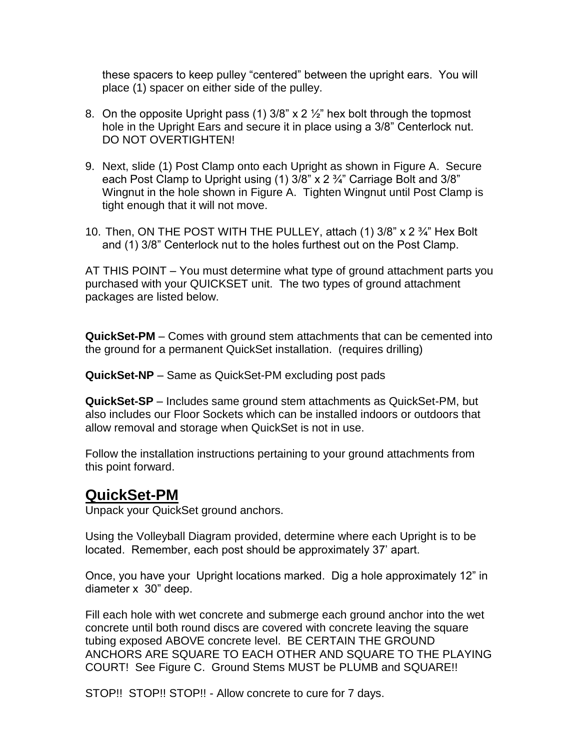these spacers to keep pulley "centered" between the upright ears. You will place (1) spacer on either side of the pulley.

- 8. On the opposite Upright pass (1)  $3/8$ " x 2  $\frac{1}{2}$ " hex bolt through the topmost hole in the Upright Ears and secure it in place using a 3/8" Centerlock nut. DO NOT OVERTIGHTEN!
- 9. Next, slide (1) Post Clamp onto each Upright as shown in Figure A. Secure each Post Clamp to Upright using (1) 3/8" x 2 ¾" Carriage Bolt and 3/8" Wingnut in the hole shown in Figure A. Tighten Wingnut until Post Clamp is tight enough that it will not move.
- 10. Then, ON THE POST WITH THE PULLEY, attach (1) 3/8" x 2 ¾" Hex Bolt and (1) 3/8" Centerlock nut to the holes furthest out on the Post Clamp.

AT THIS POINT – You must determine what type of ground attachment parts you purchased with your QUICKSET unit. The two types of ground attachment packages are listed below.

**QuickSet-PM** – Comes with ground stem attachments that can be cemented into the ground for a permanent QuickSet installation. (requires drilling)

**QuickSet-NP** – Same as QuickSet-PM excluding post pads

**QuickSet-SP** – Includes same ground stem attachments as QuickSet-PM, but also includes our Floor Sockets which can be installed indoors or outdoors that allow removal and storage when QuickSet is not in use.

Follow the installation instructions pertaining to your ground attachments from this point forward.

### **QuickSet-PM**

Unpack your QuickSet ground anchors.

Using the Volleyball Diagram provided, determine where each Upright is to be located. Remember, each post should be approximately 37' apart.

Once, you have your Upright locations marked. Dig a hole approximately 12" in diameter x 30" deep.

Fill each hole with wet concrete and submerge each ground anchor into the wet concrete until both round discs are covered with concrete leaving the square tubing exposed ABOVE concrete level. BE CERTAIN THE GROUND ANCHORS ARE SQUARE TO EACH OTHER AND SQUARE TO THE PLAYING COURT! See Figure C. Ground Stems MUST be PLUMB and SQUARE!!

STOP!! STOP!! STOP!! - Allow concrete to cure for 7 days.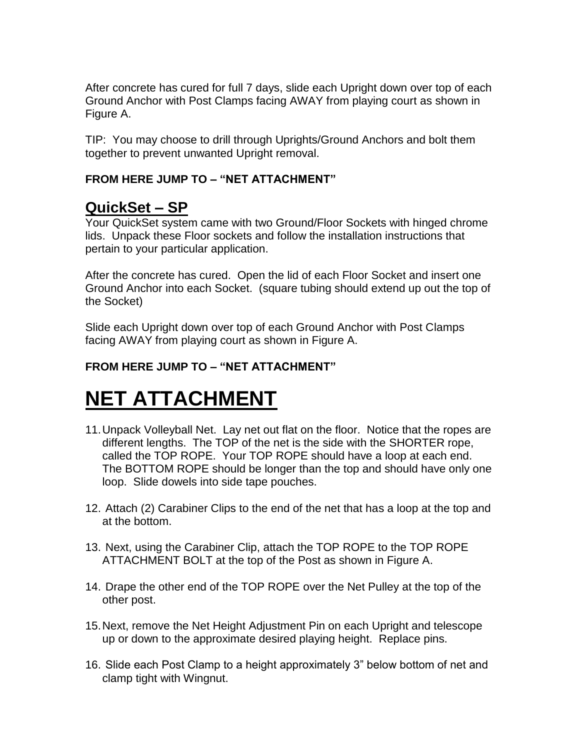After concrete has cured for full 7 days, slide each Upright down over top of each Ground Anchor with Post Clamps facing AWAY from playing court as shown in Figure A.

TIP: You may choose to drill through Uprights/Ground Anchors and bolt them together to prevent unwanted Upright removal.

### **FROM HERE JUMP TO – "NET ATTACHMENT"**

## **QuickSet – SP**

Your QuickSet system came with two Ground/Floor Sockets with hinged chrome lids. Unpack these Floor sockets and follow the installation instructions that pertain to your particular application.

After the concrete has cured. Open the lid of each Floor Socket and insert one Ground Anchor into each Socket. (square tubing should extend up out the top of the Socket)

Slide each Upright down over top of each Ground Anchor with Post Clamps facing AWAY from playing court as shown in Figure A.

### **FROM HERE JUMP TO – "NET ATTACHMENT"**

# **NET ATTACHMENT**

- 11.Unpack Volleyball Net. Lay net out flat on the floor. Notice that the ropes are different lengths. The TOP of the net is the side with the SHORTER rope, called the TOP ROPE. Your TOP ROPE should have a loop at each end. The BOTTOM ROPE should be longer than the top and should have only one loop. Slide dowels into side tape pouches.
- 12. Attach (2) Carabiner Clips to the end of the net that has a loop at the top and at the bottom.
- 13. Next, using the Carabiner Clip, attach the TOP ROPE to the TOP ROPE ATTACHMENT BOLT at the top of the Post as shown in Figure A.
- 14. Drape the other end of the TOP ROPE over the Net Pulley at the top of the other post.
- 15.Next, remove the Net Height Adjustment Pin on each Upright and telescope up or down to the approximate desired playing height. Replace pins.
- 16. Slide each Post Clamp to a height approximately 3" below bottom of net and clamp tight with Wingnut.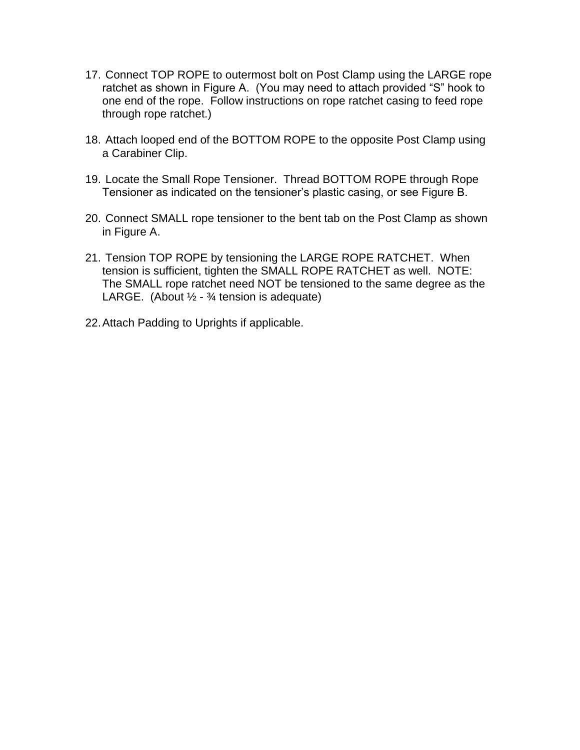- 17. Connect TOP ROPE to outermost bolt on Post Clamp using the LARGE rope ratchet as shown in Figure A. (You may need to attach provided "S" hook to one end of the rope. Follow instructions on rope ratchet casing to feed rope through rope ratchet.)
- 18. Attach looped end of the BOTTOM ROPE to the opposite Post Clamp using a Carabiner Clip.
- 19. Locate the Small Rope Tensioner. Thread BOTTOM ROPE through Rope Tensioner as indicated on the tensioner's plastic casing, or see Figure B.
- 20. Connect SMALL rope tensioner to the bent tab on the Post Clamp as shown in Figure A.
- 21. Tension TOP ROPE by tensioning the LARGE ROPE RATCHET. When tension is sufficient, tighten the SMALL ROPE RATCHET as well. NOTE: The SMALL rope ratchet need NOT be tensioned to the same degree as the LARGE. (About  $\frac{1}{2}$  -  $\frac{3}{4}$  tension is adequate)
- 22.Attach Padding to Uprights if applicable.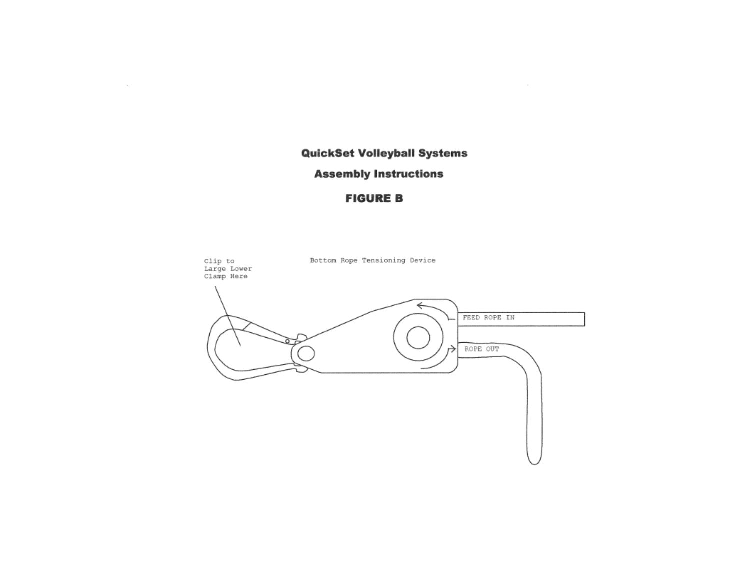### **QuickSet Volleyball Systems**

#### **Assembly Instructions**

 $\sim$ 

### **FIGURE B**

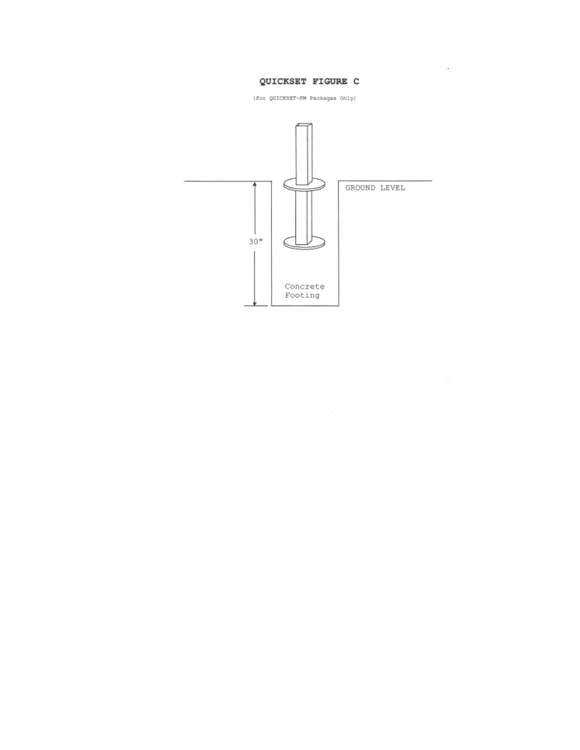#### QUICKSET FIGURE C

 $\bar{z}$ 

(For QUICKSET-PM Packages Only)